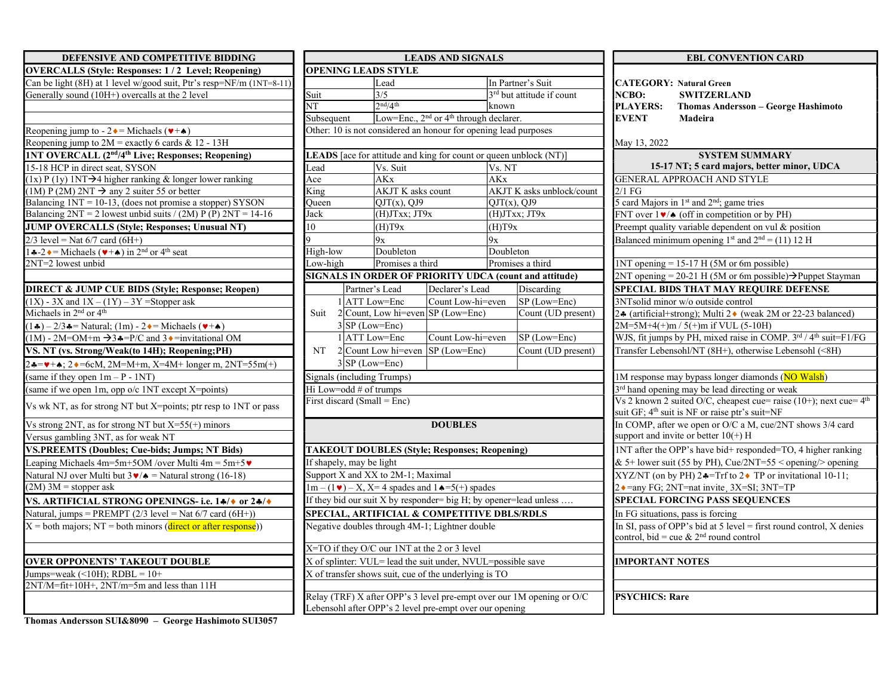| DEFENSIVE AND COMPETITIVE BIDDING                                                                            | <b>LEADS AND SIGNALS</b>                                          |                                                                       |                                                                |                  |                                        | <b>EBL CONVENTION CARD</b>                          |                                                                                                                 |
|--------------------------------------------------------------------------------------------------------------|-------------------------------------------------------------------|-----------------------------------------------------------------------|----------------------------------------------------------------|------------------|----------------------------------------|-----------------------------------------------------|-----------------------------------------------------------------------------------------------------------------|
| <b>OVERCALLS (Style: Responses: 1/2 Level; Reopening)</b>                                                    |                                                                   | <b>OPENING LEADS STYLE</b>                                            |                                                                |                  |                                        |                                                     |                                                                                                                 |
| Can be light (8H) at 1 level w/good suit, Ptr's resp=NF/m (1NT=8-11)                                         |                                                                   | Lead                                                                  |                                                                |                  | In Partner's Suit                      |                                                     | <b>CATEGORY: Natural Green</b>                                                                                  |
| Generally sound (10H+) overcalls at the 2 level                                                              | Suit                                                              | 3/5                                                                   |                                                                |                  | 3rd but attitude if count              | NCBO:                                               | <b>SWITZERLAND</b>                                                                                              |
|                                                                                                              | <b>NT</b>                                                         | 2 <sup>nd</sup> /4 <sup>th</sup>                                      |                                                                | lknown           |                                        | <b>PLAYERS:</b>                                     | <b>Thomas Andersson - George H</b>                                                                              |
|                                                                                                              | Subsequent                                                        |                                                                       | Low=Enc., 2 <sup>nd</sup> or 4 <sup>th</sup> through declarer. |                  |                                        | <b>EVENT</b>                                        | Madeira                                                                                                         |
| Reopening jump to - $2 \cdot =$ Michaels ( $\cdot +$                                                         |                                                                   | Other: 10 is not considered an honour for opening lead purposes       |                                                                |                  |                                        |                                                     |                                                                                                                 |
| Reopening jump to $2M$ = exactly 6 cards & 12 - 13H                                                          |                                                                   |                                                                       |                                                                |                  |                                        | May 13, 2022                                        |                                                                                                                 |
| <b>1NT OVERCALL (2nd/4th Live; Responses; Reopening)</b>                                                     |                                                                   | LEADS [ace for attitude and king for count or queen unblock (NT)]     |                                                                |                  |                                        |                                                     | <b>SYSTEM SUMMARY</b>                                                                                           |
| 15-18 HCP in direct seat, SYSON                                                                              | Lead                                                              | Vs. Suit                                                              |                                                                | Vs. NT           |                                        |                                                     | 15-17 NT; 5 card majors, better minor                                                                           |
| $(1x)$ P $(1y)$ 1NT $\rightarrow$ 4 higher ranking & longer lower ranking                                    | Ace                                                               | <b>AKx</b>                                                            |                                                                |                  |                                        |                                                     | GENERAL APPROACH AND STYLE                                                                                      |
| (1M) P (2M) 2NT $\rightarrow$ any 2 suiter 55 or better                                                      | $\overline{\text{King}}$                                          |                                                                       | <b>AKJT K</b> asks count                                       |                  | AKJT K asks unblock/count              | $2/1$ FG                                            |                                                                                                                 |
| Balancing $1NT = 10-13$ , (does not promise a stopper) SYSON                                                 | Oueen                                                             | $QJT(x)$ , $QJ9$                                                      |                                                                | $QJT(x)$ , $QJ9$ |                                        |                                                     | 5 card Majors in 1 <sup>st</sup> and 2 <sup>nd</sup> ; game tries                                               |
| Balancing $2NT = 2$ lowest unbid suits / (2M) P (P) $2NT = 14-16$                                            | Jack                                                              | $(H)$ J $T$ xx; J $T9x$                                               |                                                                |                  | $(H)$ J $T$ xx; J $T9x$                |                                                     | FNT over $1\blacktriangleright/\blacktriangle$ (off in competition or by PH)                                    |
| JUMP OVERCALLS (Style; Responses; Unusual NT)                                                                | 10                                                                | (H)T9x                                                                |                                                                | (H)T9x           |                                        |                                                     | Preempt quality variable dependent on vul & posi                                                                |
| $2/3$ level = Nat 6/7 card (6H+)                                                                             |                                                                   | $\overline{9x}$                                                       |                                                                | 9x               |                                        |                                                     | Balanced minimum opening $1^{st}$ and $2^{nd} = (11) 12$                                                        |
| 1.4−2. $\bullet$ = Michaels ( $\bullet$ + $\bullet$ ) in 2 <sup>nd</sup> or 4 <sup>th</sup> seat             | High-low                                                          | Doubleton                                                             |                                                                | Doubleton        |                                        |                                                     |                                                                                                                 |
| $2NT=2$ lowest unbid                                                                                         | Low-high                                                          | Promises a third                                                      |                                                                |                  | Promises a third                       |                                                     | $1NT$ opening = 15-17 H (5M or 6m possible)                                                                     |
|                                                                                                              |                                                                   | SIGNALS IN ORDER OF PRIORITY UDCA (count and attitude)                |                                                                |                  |                                        |                                                     | 2NT opening = 20-21 H (5M or 6m possible) $\rightarrow$ Pu                                                      |
| <b>DIRECT &amp; JUMP CUE BIDS (Style; Response; Reopen)</b>                                                  |                                                                   | Partner's Lead                                                        | Declarer's Lead                                                |                  | Discarding                             |                                                     | SPECIAL BIDS THAT MAY REQUIRE DEF                                                                               |
| $(1X)$ - 3X and $1X - (1Y) - 3Y$ =Stopper ask                                                                |                                                                   | $1$ ATT Low=Enc                                                       | Count Low-hi=even                                              |                  | SP (Low=Enc)                           |                                                     | 3NTsolid minor w/o outside control                                                                              |
| Michaels in 2 <sup>nd</sup> or 4 <sup>th</sup>                                                               | Suit                                                              | $2$ Count, Low hi=even SP (Low=Enc)                                   |                                                                |                  | $\overline{\text{Count}}$ (UD present) |                                                     | 2↓ (artificial+strong); Multi 2◆ (weak 2M or 22-                                                                |
| $(1\clubsuit) - 2/3\clubsuit$ = Natural; (1m) - 2 $\lozenge$ = Michaels ( $\ntriangleright$ + $\spadesuit$ ) |                                                                   | $3$ SP (Low=Enc)                                                      |                                                                |                  |                                        |                                                     | $2M=5M+4(+)m/5(+)m$ if VUL (5-10H)                                                                              |
| $(1M)$ - 2M=OM+m $\rightarrow$ 3.4=P/C and 3. = invitational OM                                              |                                                                   | 1 ATT Low=Enc                                                         | Count Low-hi=even                                              |                  | $SP$ (Low=Enc)                         |                                                     | WJS, fit jumps by PH, mixed raise in COMP. 3rd                                                                  |
| VS. NT (vs. Strong/Weak(to 14H); Reopening; PH)                                                              | NT                                                                | $2$ Count Low hi=even SP (Low=Enc)                                    |                                                                |                  | Count (UD present)                     |                                                     | Transfer Lebensohl/NT (8H+), otherwise Lebenson                                                                 |
| $24 = 4$ + $\star$ ; 2 + = 6cM, 2M=M+m, X=4M+ longer m, 2NT=55m(+)                                           |                                                                   | $3 SP (Low=Enc)$                                                      |                                                                |                  |                                        |                                                     |                                                                                                                 |
| (same if they open $1m - P - 1NT$ )                                                                          |                                                                   | Signals (including Trumps)                                            |                                                                |                  |                                        |                                                     | 1M response may bypass longer diamonds (NO W                                                                    |
| (same if we open 1m, opp o/c 1NT except X=points)                                                            |                                                                   | Hi Low=odd $#$ of trumps                                              |                                                                |                  |                                        |                                                     | 3 <sup>rd</sup> hand opening may be lead directing or weak                                                      |
| Vs wk NT, as for strong NT but X=points; ptr resp to 1NT or pass                                             |                                                                   | First discard (Small = $Enc$ )                                        |                                                                |                  |                                        |                                                     | Vs 2 known 2 suited O/C, cheapest cue= raise (10)<br>suit GF; 4 <sup>th</sup> suit is NF or raise ptr's suit=NF |
| Vs strong 2NT, as for strong NT but $X=55(+)$ minors                                                         |                                                                   |                                                                       | <b>DOUBLES</b>                                                 |                  |                                        |                                                     | In COMP, after we open or O/C a M, cue/2NT sh                                                                   |
| Versus gambling 3NT, as for weak NT                                                                          |                                                                   |                                                                       |                                                                |                  |                                        |                                                     | support and invite or better $10(+)$ H                                                                          |
| <b>VS.PREEMTS (Doubles; Cue-bids; Jumps; NT Bids)</b>                                                        |                                                                   | <b>TAKEOUT DOUBLES (Style; Responses; Reopening)</b>                  |                                                                |                  |                                        |                                                     | 1NT after the OPP's have bid+ responded=TO, 4                                                                   |
| Leaping Michaels 4m=5m+5OM /over Multi 4m = $5m+5\mathbf{v}$                                                 |                                                                   | If shapely, may be light                                              |                                                                |                  |                                        |                                                     | & 5+ lower suit (55 by PH), Cue/2NT=55 < open                                                                   |
| Natural NJ over Multi but $3\blacktriangledown/\blacktriangle =$ Natural strong (16-18)                      | Support X and XX to 2M-1; Maximal                                 |                                                                       |                                                                |                  |                                        | $XYZ/NT$ (on by PH) 2.4=Trf to 2.4 TP or invitation |                                                                                                                 |
| $(2M)$ 3M = stopper ask                                                                                      | $1m - (1 \cdot ) - X$ , X=4 spades and $1 \cdot =5$ (+) spades    |                                                                       |                                                                |                  |                                        |                                                     | 2 • = any FG; 2NT=nat invite, 3X=SI; 3NT=TP                                                                     |
| VS. ARTIFICIAL STRONG OPENINGS- i.e. 14/0 or 24/0                                                            | If they bid our suit X by responder= big H; by opener=lead unless |                                                                       |                                                                |                  |                                        |                                                     | <b>SPECIAL FORCING PASS SEQUENCES</b>                                                                           |
| Natural, jumps = PREMPT $(2/3$ level = Nat $6/7$ card $(6H+)$ )                                              | SPECIAL, ARTIFICIAL & COMPETITIVE DBLS/RDLS                       |                                                                       |                                                                |                  |                                        |                                                     | In FG situations, pass is forcing                                                                               |
| $X =$ both majors; NT = both minors (direct or after response))                                              | Negative doubles through 4M-1; Lightner double                    |                                                                       |                                                                |                  |                                        |                                                     | In SI, pass of OPP's bid at 5 level = first round co<br>control, bid = cue & $2nd$ round control                |
|                                                                                                              |                                                                   | X=TO if they O/C our 1NT at the 2 or 3 level                          |                                                                |                  |                                        |                                                     |                                                                                                                 |
| <b>OVER OPPONENTS' TAKEOUT DOUBLE</b>                                                                        | X of splinter: VUL= lead the suit under, NVUL=possible save       |                                                                       |                                                                |                  |                                        | <b>IMPORTANT NOTES</b>                              |                                                                                                                 |
| Jumps=weak $(\le 10H)$ ; RDBL = 10+                                                                          |                                                                   | X of transfer shows suit, cue of the underlying is TO                 |                                                                |                  |                                        |                                                     |                                                                                                                 |
| 2NT/M=fit+10H+, 2NT/m=5m and less than 11H                                                                   |                                                                   |                                                                       |                                                                |                  |                                        |                                                     |                                                                                                                 |
|                                                                                                              |                                                                   | Relay (TRF) X after OPP's 3 level pre-empt over our 1M opening or O/C |                                                                |                  |                                        | <b>PSYCHICS: Rare</b>                               |                                                                                                                 |

| DEFENSIVE AND COMPETITIVE BIDDING                                                                         |                          |                                                                               | LEADS AND SIGNALS                                              |                                                                       |                        | <b>EBL CONVENTION CARD</b>                                                                                                        |
|-----------------------------------------------------------------------------------------------------------|--------------------------|-------------------------------------------------------------------------------|----------------------------------------------------------------|-----------------------------------------------------------------------|------------------------|-----------------------------------------------------------------------------------------------------------------------------------|
| <b>OVERCALLS (Style: Responses: 1/2 Level; Reopening)</b>                                                 |                          | <b>OPENING LEADS STYLE</b>                                                    |                                                                |                                                                       |                        |                                                                                                                                   |
| Can be light (8H) at 1 level w/good suit, Ptr's resp=NF/m (1NT=8-11)                                      |                          | Lead                                                                          |                                                                | In Partner's Suit                                                     |                        | <b>CATEGORY: Natural Green</b>                                                                                                    |
| Generally sound (10H+) overcalls at the 2 level                                                           | Suit                     | 3/5                                                                           |                                                                | 3 <sup>rd</sup> but attitude if count                                 | <b>NCBO:</b>           | <b>SWITZERLAND</b>                                                                                                                |
|                                                                                                           | NT                       | 2 <sup>nd</sup> /4 <sup>th</sup>                                              |                                                                | lknown                                                                | <b>PLAYERS:</b>        | Thomas Andersson - George Hashimoto                                                                                               |
|                                                                                                           | Subsequent               |                                                                               | Low=Enc., 2 <sup>nd</sup> or 4 <sup>th</sup> through declarer. |                                                                       | <b>EVENT</b>           | Madeira                                                                                                                           |
| Reopening jump to - $2 \cdot =$ Michaels ( $\neg$ + $\leftrightarrow$ )                                   |                          | Other: 10 is not considered an honour for opening lead purposes               |                                                                |                                                                       |                        |                                                                                                                                   |
| Reopening jump to $2M$ = exactly 6 cards & 12 - 13H                                                       |                          |                                                                               |                                                                |                                                                       | May 13, 2022           |                                                                                                                                   |
| 1NT OVERCALL (2 <sup>nd</sup> /4 <sup>th</sup> Live; Responses; Reopening)                                |                          |                                                                               |                                                                | LEADS [ace for attitude and king for count or queen unblock (NT)]     |                        | <b>SYSTEM SUMMARY</b>                                                                                                             |
| 15-18 HCP in direct seat, SYSON                                                                           | Lead                     | Vs. Suit                                                                      |                                                                | Vs. NT                                                                |                        | 15-17 NT; 5 card majors, better minor, UDCA                                                                                       |
| $(1x)$ P $(1y)$ 1NT $\rightarrow$ 4 higher ranking & longer lower ranking                                 | Ace                      | <b>AKx</b>                                                                    |                                                                | <b>AKx</b>                                                            |                        | <b>GENERAL APPROACH AND STYLE</b>                                                                                                 |
| $(1M)$ P $(2M)$ 2NT $\rightarrow$ any 2 suiter 55 or better                                               | King                     | AKJT K asks count                                                             |                                                                | AKJT K asks unblock/count                                             | $2/1$ FG               |                                                                                                                                   |
| Balancing $1NT = 10-13$ , (does not promise a stopper) SYSON                                              | Oueen                    | $QJT(x)$ , $QJ9$                                                              |                                                                | $OJT(x)$ , $OJ9$                                                      |                        | 5 card Majors in 1 <sup>st</sup> and 2 <sup>nd</sup> ; game tries                                                                 |
| Balancing $2NT = 2$ lowest unbid suits / (2M) P (P) $2NT = 14-16$                                         | Jack                     | $(H)$ J $T$ xx; J $T9x$                                                       |                                                                | $(H)$ J $T$ xx; J $T9x$                                               |                        | FNT over $1\blacktriangleright/\blacktriangle$ (off in competition or by PH)                                                      |
| <b>JUMP OVERCALLS (Style; Responses; Unusual NT)</b>                                                      | 10                       | (H)T9x                                                                        |                                                                | (H)T9x                                                                |                        | Preempt quality variable dependent on vul & position                                                                              |
| $2/3$ level = Nat $6/7$ card $(6H+)$                                                                      |                          | 9x                                                                            |                                                                | 9x                                                                    |                        | Balanced minimum opening 1 <sup>st</sup> and $2nd = (11) 12 H$                                                                    |
| 1.4−2. $\bullet$ = Michaels ( $\bullet$ + $\bullet$ ) in 2 <sup>nd</sup> or 4 <sup>th</sup> seat          | High-low                 | Doubleton                                                                     |                                                                | Doubleton                                                             |                        |                                                                                                                                   |
| $2NT=2$ lowest unbid                                                                                      | Low-high                 | Promises a third                                                              |                                                                | Promises a third                                                      |                        | $1NT$ opening = 15-17 H (5M or 6m possible)                                                                                       |
|                                                                                                           |                          |                                                                               |                                                                | <b>SIGNALS IN ORDER OF PRIORITY UDCA (count and attitude)</b>         |                        | 2NT opening = 20-21 H (5M or 6m possible) $\rightarrow$ Puppet Stayman                                                            |
| <b>DIRECT &amp; JUMP CUE BIDS (Style; Response; Reopen)</b>                                               |                          | Partner's Lead                                                                | Declarer's Lead                                                | Discarding                                                            |                        | <b>SPECIAL BIDS THAT MAY REQUIRE DEFENSE</b>                                                                                      |
| $(1X)$ - 3X and $1X - (1Y) - 3Y$ =Stopper ask                                                             |                          | $1$ ATT Low=Enc                                                               | Count Low-hi=even                                              | SP (Low=Enc)                                                          |                        | 3NTsolid minor w/o outside control                                                                                                |
| Michaels in 2 <sup>nd</sup> or 4 <sup>th</sup>                                                            |                          | Suit $2$ Count, Low hi=even SP (Low=Enc)                                      |                                                                | Count (UD present)                                                    |                        | 2.4 (artificial+strong); Multi 2. (weak 2M or 22-23 balanced)                                                                     |
| $(1\clubsuit) - 2/3\clubsuit$ = Natural; (1m) - 2 $\bullet$ = Michaels ( $\nightharpoonup + \spadesuit$ ) |                          | $3 SP (Low=Enc)$                                                              |                                                                |                                                                       |                        | $2M=5M+4(+)m / 5(+)m$ if VUL (5-10H)                                                                                              |
| $(1M)$ - 2M=OM+m $\rightarrow$ 3 $\ast$ =P/C and 3 $\ast$ =invitational OM                                |                          | $1$ ATT Low=Enc                                                               | Count Low-hi=even                                              | SP (Low=Enc)                                                          |                        | WJS, fit jumps by PH, mixed raise in COMP. 3rd / 4th suit=F1/FG                                                                   |
| VS. NT (vs. Strong/Weak(to 14H); Reopening; PH)                                                           | NT                       | $2$ Count Low hi=even SP (Low=Enc)                                            |                                                                | Count (UD present)                                                    |                        | Transfer Lebensohl/NT (8H+), otherwise Lebensohl (<8H)                                                                            |
| $24 = 4 + 4$ ; $24 = 6$ cM, $2M=M+m$ , $X=4M+$ longer m, $2NT=55m(+)$                                     |                          | $3$ SP (Low=Enc)                                                              |                                                                |                                                                       |                        |                                                                                                                                   |
| (same if they open $1m - P - 1NT$ )                                                                       |                          | Signals (including Trumps)                                                    |                                                                |                                                                       |                        | 1M response may bypass longer diamonds (NO Walsh)                                                                                 |
| (same if we open 1m, opp o/c 1NT except X=points)                                                         |                          | Hi Low=odd # of trumps                                                        |                                                                |                                                                       |                        | 3 <sup>rd</sup> hand opening may be lead directing or weak                                                                        |
| Vs wk NT, as for strong NT but X=points; ptr resp to 1NT or pass                                          |                          | First discard (Small = $Enc$ )                                                |                                                                |                                                                       |                        | Vs 2 known 2 suited O/C, cheapest cue= raise (10+); next cue= $4th$<br>suit GF; 4 <sup>th</sup> suit is NF or raise ptr's suit=NF |
| Vs strong 2NT, as for strong NT but $X=55(+)$ minors                                                      |                          |                                                                               | <b>DOUBLES</b>                                                 |                                                                       |                        | In COMP, after we open or O/C a M, cue/2NT shows 3/4 card                                                                         |
| Versus gambling 3NT, as for weak NT                                                                       |                          |                                                                               |                                                                |                                                                       |                        | support and invite or better $10(+)$ H                                                                                            |
| <b>VS.PREEMTS (Doubles; Cue-bids; Jumps; NT Bids)</b>                                                     |                          | <b>TAKEOUT DOUBLES (Style; Responses; Reopening)</b>                          |                                                                |                                                                       |                        | 1NT after the OPP's have bid+ responded=TO, 4 higher ranking                                                                      |
| Leaping Michaels $4m=5m+5OM$ /over Multi $4m=5m+5$                                                        | If shapely, may be light |                                                                               |                                                                |                                                                       |                        | & 5+ lower suit (55 by PH), Cue/2NT=55 < opening/> opening                                                                        |
| Natural NJ over Multi but $3\blacktriangledown/\blacktriangle =$ Natural strong (16-18)                   |                          | Support X and XX to 2M-1; Maximal                                             |                                                                |                                                                       |                        | XYZ/NT (on by PH) $2 \cdot \frac{1}{\sqrt{2}}$ TP or invitational 10-11;                                                          |
| $(2M)$ 3M = stopper ask                                                                                   |                          | $1m - (1 \cdot \bullet) - X$ , X=4 spades and $1 \cdot \bullet = 5(+)$ spades |                                                                |                                                                       |                        | 2 • = any FG; 2NT=nat invite, 3X=SI; 3NT=TP                                                                                       |
| VS. ARTIFICIAL STRONG OPENINGS- i.e. 14/0 or 24/0                                                         |                          |                                                                               |                                                                | If they bid our suit X by responder= big H; by opener=lead unless     |                        | <b>SPECIAL FORCING PASS SEQUENCES</b>                                                                                             |
| Natural, jumps = PREMPT $(2/3$ level = Nat $6/7$ card $(6H+)$ )                                           |                          | <b>SPECIAL, ARTIFICIAL &amp; COMPETITIVE DBLS/RDLS</b>                        |                                                                |                                                                       |                        | In FG situations, pass is forcing                                                                                                 |
| $X =$ both majors; NT = both minors (direct or after response))                                           |                          | Negative doubles through 4M-1; Lightner double                                |                                                                |                                                                       |                        | In SI, pass of OPP's bid at 5 level = first round control, $X$ denies<br>control, bid = cue & $2nd$ round control                 |
|                                                                                                           |                          | X=TO if they O/C our 1NT at the 2 or 3 level                                  |                                                                |                                                                       |                        |                                                                                                                                   |
| <b>OVER OPPONENTS' TAKEOUT DOUBLE</b>                                                                     |                          | X of splinter: VUL= lead the suit under, NVUL=possible save                   |                                                                |                                                                       | <b>IMPORTANT NOTES</b> |                                                                                                                                   |
| Jumps=weak $(\leq 10H)$ ; RDBL = 10+                                                                      |                          | X of transfer shows suit, cue of the underlying is TO                         |                                                                |                                                                       |                        |                                                                                                                                   |
| 2NT/M=fit+10H+, 2NT/m=5m and less than 11H                                                                |                          |                                                                               |                                                                |                                                                       |                        |                                                                                                                                   |
|                                                                                                           |                          | Lebensohl after OPP's 2 level pre-empt over our opening                       |                                                                | Relay (TRF) X after OPP's 3 level pre-empt over our 1M opening or O/C | <b>PSYCHICS: Rare</b>  |                                                                                                                                   |
|                                                                                                           |                          |                                                                               |                                                                |                                                                       |                        |                                                                                                                                   |

| <b>LEADS AND SIGNALS</b>                                                                     |                                                  |                  |                                                        | <b>EBL CONVENTION CARD</b>                                                                                                           |  |  |  |
|----------------------------------------------------------------------------------------------|--------------------------------------------------|------------------|--------------------------------------------------------|--------------------------------------------------------------------------------------------------------------------------------------|--|--|--|
| <b>S STYLE</b>                                                                               |                                                  |                  |                                                        |                                                                                                                                      |  |  |  |
| ead                                                                                          | In Partner's Suit                                |                  |                                                        | <b>CATEGORY: Natural Green</b>                                                                                                       |  |  |  |
| 3 <sup>rd</sup> but attitude if count<br>$\sqrt{5}$                                          |                                                  |                  | NCBO:<br><b>SWITZERLAND</b>                            |                                                                                                                                      |  |  |  |
| nd/4 <sup>th</sup><br>known                                                                  |                                                  |                  | <b>PLAYERS:</b><br>Thomas Andersson – George Hashimoto |                                                                                                                                      |  |  |  |
|                                                                                              | ow=Enc., $2nd$ or $4th$ through declarer.        |                  |                                                        | <b>EVENT</b><br>Madeira                                                                                                              |  |  |  |
|                                                                                              | isidered an honour for opening lead purposes     |                  |                                                        |                                                                                                                                      |  |  |  |
|                                                                                              |                                                  |                  |                                                        | May 13, 2022                                                                                                                         |  |  |  |
|                                                                                              | titude and king for count or queen unblock (NT)] |                  |                                                        | <b>SYSTEM SUMMARY</b>                                                                                                                |  |  |  |
| 's. Suit                                                                                     |                                                  | Vs. NT           |                                                        | 15-17 NT; 5 card majors, better minor, UDCA                                                                                          |  |  |  |
| Kx                                                                                           |                                                  | AKx              |                                                        | <b>GENERAL APPROACH AND STYLE</b>                                                                                                    |  |  |  |
| KJT K asks count                                                                             |                                                  |                  | AKJT K asks unblock/count                              | $2/1$ FG                                                                                                                             |  |  |  |
| $JT(x)$ , OJ9                                                                                |                                                  | $OJT(x)$ , $OJ9$ |                                                        | 5 card Majors in 1 <sup>st</sup> and 2 <sup>nd</sup> ; game tries                                                                    |  |  |  |
| H)JTxx; JT9x                                                                                 |                                                  | (H)JTxx; JT9x    |                                                        | FNT over $1\blacktriangleright/\blacktriangle$ (off in competition or by PH)                                                         |  |  |  |
| Н)Т9х                                                                                        |                                                  | (H)T9x           |                                                        | Preempt quality variable dependent on vul $\&$ position                                                                              |  |  |  |
| X                                                                                            |                                                  | 9x               |                                                        | Balanced minimum opening $1^{st}$ and $2^{nd} = (11) 12$ H                                                                           |  |  |  |
| oubleton                                                                                     |                                                  | Doubleton        |                                                        |                                                                                                                                      |  |  |  |
| romises a third                                                                              |                                                  | Promises a third |                                                        | $1NT$ opening = 15-17 H (5M or 6m possible)                                                                                          |  |  |  |
|                                                                                              | DER OF PRIORITY UDCA (count and attitude)        |                  |                                                        | $2NT$ opening = 20-21 H (5M or 6m possible) $\rightarrow$ Puppet Stayman                                                             |  |  |  |
| Lead                                                                                         | Declarer's Lead                                  |                  | Discarding                                             | SPECIAL BIDS THAT MAY REQUIRE DEFENSE                                                                                                |  |  |  |
| v=Enc                                                                                        | Count Low-hi=even                                |                  | SP (Low=Enc)                                           | 3NTsolid minor w/o outside control                                                                                                   |  |  |  |
|                                                                                              | ow hi=even SP (Low=Enc)                          |                  | Count (UD present)                                     | 2.4 (artificial+strong); Multi 2. (weak 2M or 22-23 balanced)                                                                        |  |  |  |
| $=Enc)$                                                                                      |                                                  |                  |                                                        | $2M=5M+4(+)m / 5(+)m$ if VUL (5-10H)                                                                                                 |  |  |  |
| $v = Enc$                                                                                    | Count Low-hi=even                                |                  | SP (Low=Enc)                                           | WJS, fit jumps by PH, mixed raise in COMP. 3rd / 4 <sup>th</sup> suit=F1/FG                                                          |  |  |  |
|                                                                                              | w hi=even  SP (Low=Enc)                          |                  | Count (UD present)                                     | Transfer Lebensohl/NT (8H+), otherwise Lebensohl (<8H)                                                                               |  |  |  |
| $=Enc)$                                                                                      |                                                  |                  |                                                        |                                                                                                                                      |  |  |  |
| [rumps)                                                                                      |                                                  |                  |                                                        | 1M response may bypass longer diamonds (NO Walsh)                                                                                    |  |  |  |
| umps                                                                                         |                                                  |                  |                                                        | 3 <sup>rd</sup> hand opening may be lead directing or weak                                                                           |  |  |  |
| $=$ Enc)                                                                                     |                                                  |                  |                                                        | Vs 2 known 2 suited O/C, cheapest cue= raise $(10+)$ ; next cue= $4th$<br>suit GF; 4 <sup>th</sup> suit is NF or raise ptr's suit=NF |  |  |  |
|                                                                                              | <b>DOUBLES</b>                                   |                  |                                                        | In COMP, after we open or O/C a M, cue/2NT shows 3/4 card<br>support and invite or better $10(+)$ H                                  |  |  |  |
|                                                                                              |                                                  |                  |                                                        |                                                                                                                                      |  |  |  |
|                                                                                              | <b>BLES (Style; Responses; Reopening)</b>        |                  |                                                        | 1NT after the OPP's have bid+ responded=TO, 4 higher ranking                                                                         |  |  |  |
| ight                                                                                         |                                                  |                  |                                                        | & 5+ lower suit (55 by PH), Cue/2NT=55 < opening/> opening                                                                           |  |  |  |
| to 2M-1; Maximal                                                                             |                                                  |                  |                                                        | XYZ/NT (on by PH) $2 \div T$ The $2 \div T$ P or invitational 10-11;                                                                 |  |  |  |
|                                                                                              | 4 spades and $1 \triangle = 5(+)$ spades         |                  |                                                        | 2 · = any FG; 2NT=nat invite, 3X=SI; 3NT=TP                                                                                          |  |  |  |
| X by responder= big H; by opener=lead unless                                                 |                                                  |                  |                                                        | <b>SPECIAL FORCING PASS SEQUENCES</b>                                                                                                |  |  |  |
| <b>ICIAL &amp; COMPETITIVE DBLS/RDLS</b>                                                     |                                                  |                  |                                                        | In FG situations, pass is forcing                                                                                                    |  |  |  |
|                                                                                              | irough 4M-1; Lightner double                     |                  |                                                        | In SI, pass of OPP's bid at 5 level = first round control, $X$ denies<br>control, bid = cue & $2nd$ round control                    |  |  |  |
|                                                                                              |                                                  |                  |                                                        |                                                                                                                                      |  |  |  |
| our 1NT at the 2 or 3 level                                                                  |                                                  |                  |                                                        |                                                                                                                                      |  |  |  |
| = lead the suit under, NVUL=possible save<br>suit, cue of the underlying is TO               |                                                  |                  |                                                        | <b>IMPORTANT NOTES</b>                                                                                                               |  |  |  |
|                                                                                              |                                                  |                  |                                                        |                                                                                                                                      |  |  |  |
|                                                                                              |                                                  |                  |                                                        | <b>PSYCHICS: Rare</b>                                                                                                                |  |  |  |
| r OPP's 3 level pre-empt over our 1M opening or O/C<br>P's 2 level pre-empt over our opening |                                                  |                  |                                                        |                                                                                                                                      |  |  |  |

Thomas Andersson SUI&8090 – George Hashimoto SUI3057